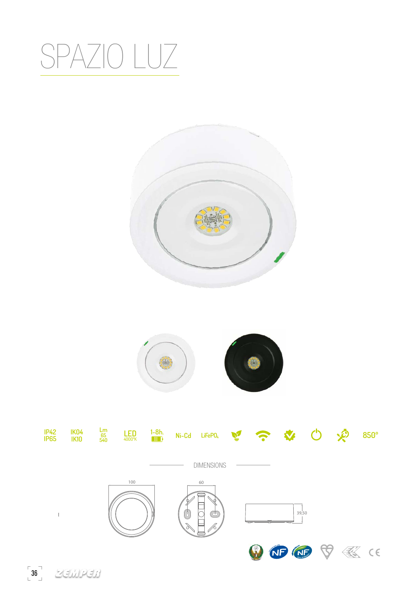## SPAZIO LUZ







36 200000